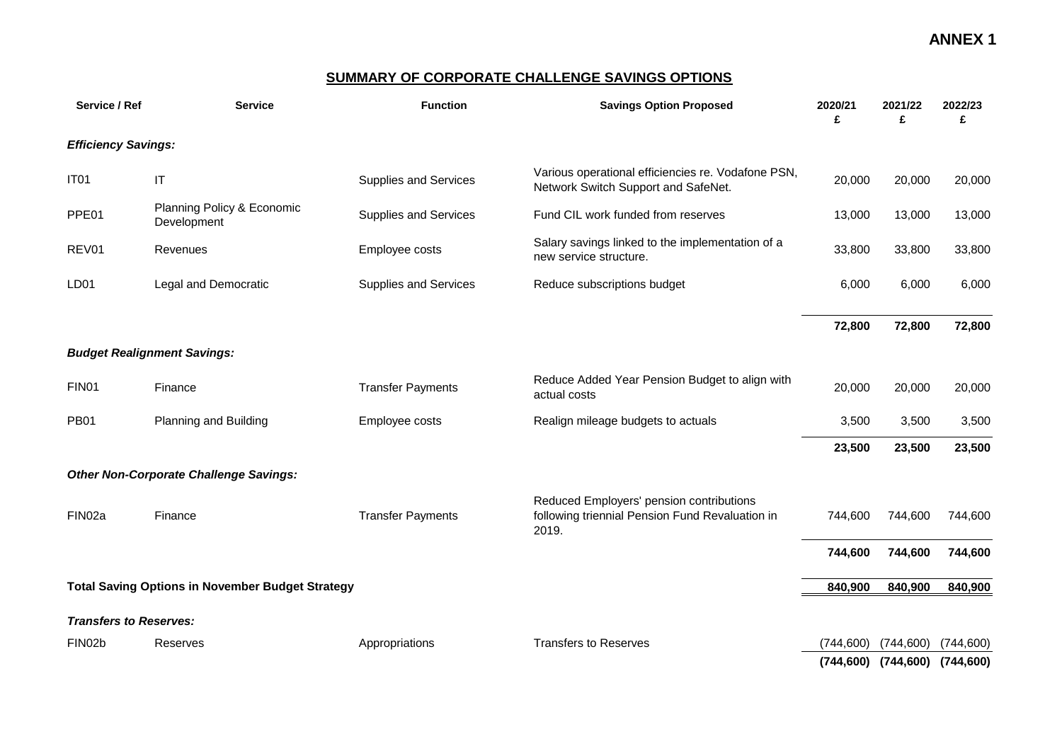#### **SUMMARY OF CORPORATE CHALLENGE SAVINGS OPTIONS**

| Service / Ref                 | <b>Service</b>                                          | <b>Function</b>          | <b>Savings Option Proposed</b>                                                                       | 2020/21<br>£ | 2021/22<br>£              | 2022/23<br>£ |
|-------------------------------|---------------------------------------------------------|--------------------------|------------------------------------------------------------------------------------------------------|--------------|---------------------------|--------------|
| <b>Efficiency Savings:</b>    |                                                         |                          |                                                                                                      |              |                           |              |
| IT <sub>01</sub>              | $\mathsf{I}\mathsf{T}$                                  | Supplies and Services    | Various operational efficiencies re. Vodafone PSN,<br>Network Switch Support and SafeNet.            | 20,000       | 20,000                    | 20,000       |
| PPE01                         | Planning Policy & Economic<br>Development               | Supplies and Services    | Fund CIL work funded from reserves                                                                   | 13,000       | 13,000                    | 13,000       |
| REV01                         | Revenues                                                | Employee costs           | Salary savings linked to the implementation of a<br>new service structure.                           | 33,800       | 33,800                    | 33,800       |
| LD <sub>01</sub>              | Legal and Democratic                                    | Supplies and Services    | Reduce subscriptions budget                                                                          | 6,000        | 6,000                     | 6,000        |
|                               |                                                         |                          |                                                                                                      | 72,800       | 72,800                    | 72,800       |
|                               | <b>Budget Realignment Savings:</b>                      |                          |                                                                                                      |              |                           |              |
| FIN <sub>01</sub>             | Finance                                                 | <b>Transfer Payments</b> | Reduce Added Year Pension Budget to align with<br>actual costs                                       | 20,000       | 20,000                    | 20,000       |
| <b>PB01</b>                   | Planning and Building                                   | Employee costs           | Realign mileage budgets to actuals                                                                   | 3,500        | 3,500                     | 3,500        |
|                               |                                                         |                          |                                                                                                      | 23,500       | 23,500                    | 23,500       |
|                               | <b>Other Non-Corporate Challenge Savings:</b>           |                          |                                                                                                      |              |                           |              |
| FIN02a                        | Finance                                                 | <b>Transfer Payments</b> | Reduced Employers' pension contributions<br>following triennial Pension Fund Revaluation in<br>2019. | 744,600      | 744,600                   | 744,600      |
|                               |                                                         |                          |                                                                                                      | 744,600      | 744,600                   | 744,600      |
|                               | <b>Total Saving Options in November Budget Strategy</b> |                          |                                                                                                      | 840,900      | 840,900                   | 840,900      |
| <b>Transfers to Reserves:</b> |                                                         |                          |                                                                                                      |              |                           |              |
| FIN02b                        | Reserves                                                | Appropriations           | <b>Transfers to Reserves</b>                                                                         | (744, 600)   | (744, 600)                | (744, 600)   |
|                               |                                                         |                          |                                                                                                      |              | $(744, 600)$ $(744, 600)$ | (744, 600)   |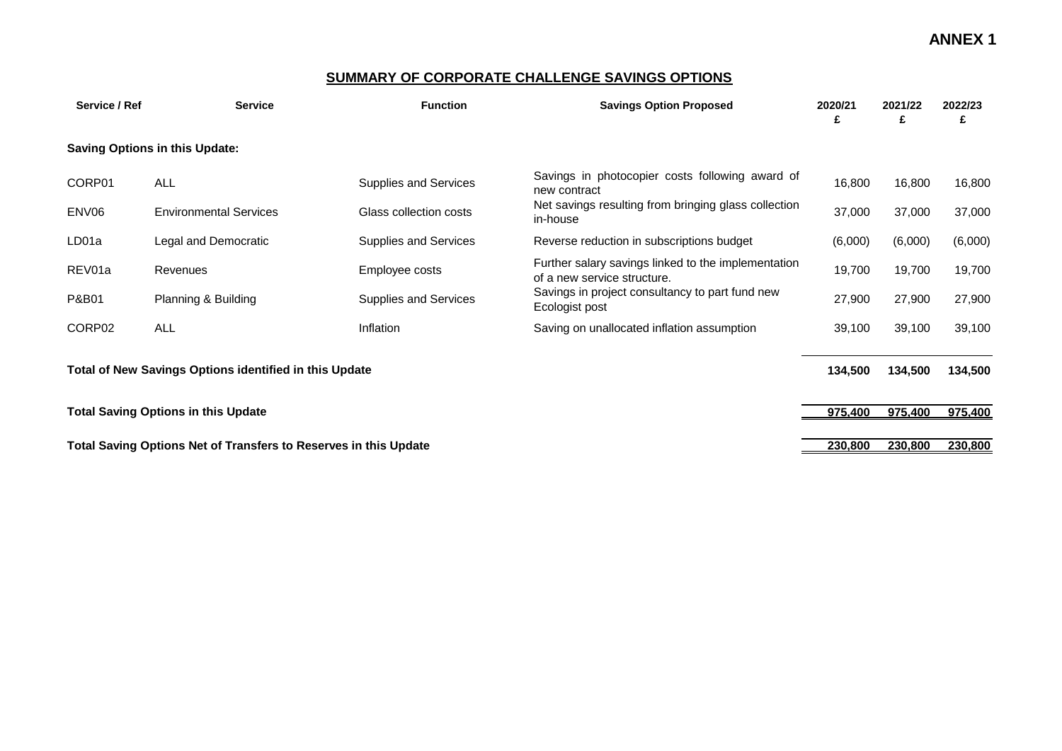#### **SUMMARY OF CORPORATE CHALLENGE SAVINGS OPTIONS**

| Service / Ref                                          | <b>Service</b>                                                   | <b>Function</b>        | <b>Savings Option Proposed</b>                                                     | 2020/21<br>£ | 2021/22<br>£ | 2022/23<br>£ |
|--------------------------------------------------------|------------------------------------------------------------------|------------------------|------------------------------------------------------------------------------------|--------------|--------------|--------------|
|                                                        | <b>Saving Options in this Update:</b>                            |                        |                                                                                    |              |              |              |
| CORP01                                                 | <b>ALL</b>                                                       | Supplies and Services  | Savings in photocopier costs following award of<br>new contract                    | 16,800       | 16,800       | 16,800       |
| ENV06                                                  | <b>Environmental Services</b>                                    | Glass collection costs | Net savings resulting from bringing glass collection<br>in-house                   | 37,000       | 37,000       | 37,000       |
| LD01a                                                  | Legal and Democratic                                             | Supplies and Services  | Reverse reduction in subscriptions budget                                          | (6,000)      | (6,000)      | (6,000)      |
| REV01a                                                 | Revenues                                                         | Employee costs         | Further salary savings linked to the implementation<br>of a new service structure. | 19,700       | 19,700       | 19,700       |
| P&B01                                                  | Planning & Building                                              | Supplies and Services  | Savings in project consultancy to part fund new<br>Ecologist post                  | 27,900       | 27,900       | 27,900       |
| CORP02                                                 | <b>ALL</b>                                                       | Inflation              | Saving on unallocated inflation assumption                                         |              | 39,100       | 39,100       |
| Total of New Savings Options identified in this Update |                                                                  |                        |                                                                                    |              | 134,500      | 134,500      |
|                                                        | <b>Total Saving Options in this Update</b>                       |                        |                                                                                    | 975,400      | 975,400      | 975,400      |
|                                                        | Total Saving Options Net of Transfers to Reserves in this Update |                        |                                                                                    | 230,800      | 230,800      | 230,800      |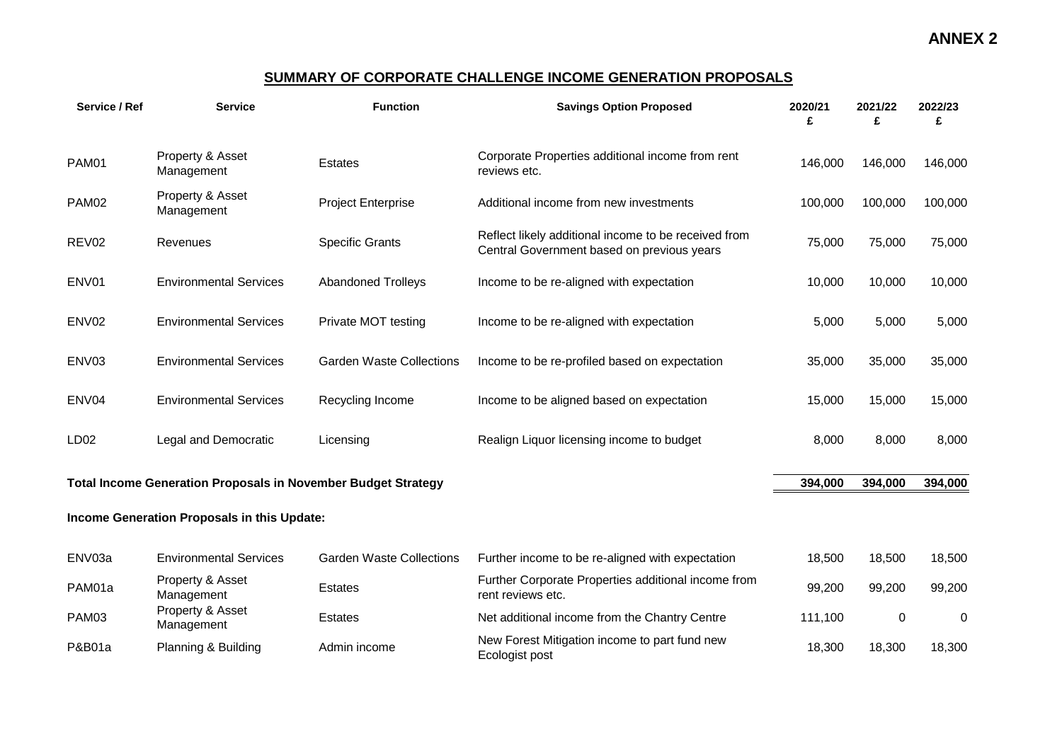### **SUMMARY OF CORPORATE CHALLENGE INCOME GENERATION PROPOSALS**

| Service / Ref     | <b>Service</b>                                                       | <b>Function</b>                 | <b>Savings Option Proposed</b>                                                                     | 2020/21<br>£ | 2021/22<br>£ | 2022/23<br>£ |
|-------------------|----------------------------------------------------------------------|---------------------------------|----------------------------------------------------------------------------------------------------|--------------|--------------|--------------|
| <b>PAM01</b>      | Property & Asset<br>Management                                       | Estates                         | Corporate Properties additional income from rent<br>reviews etc.                                   | 146,000      | 146,000      | 146,000      |
| PAM02             | Property & Asset<br>Management                                       | <b>Project Enterprise</b>       | Additional income from new investments                                                             | 100,000      | 100,000      | 100,000      |
| REV <sub>02</sub> | Revenues                                                             | <b>Specific Grants</b>          | Reflect likely additional income to be received from<br>Central Government based on previous years | 75,000       | 75,000       | 75,000       |
| ENV01             | <b>Environmental Services</b>                                        | <b>Abandoned Trolleys</b>       | Income to be re-aligned with expectation                                                           | 10,000       | 10,000       | 10,000       |
| ENV <sub>02</sub> | <b>Environmental Services</b>                                        | Private MOT testing             | Income to be re-aligned with expectation                                                           | 5,000        | 5,000        | 5,000        |
| ENV03             | <b>Environmental Services</b>                                        | <b>Garden Waste Collections</b> | Income to be re-profiled based on expectation                                                      | 35,000       | 35,000       | 35,000       |
| ENV04             | <b>Environmental Services</b>                                        | Recycling Income                | Income to be aligned based on expectation                                                          | 15,000       | 15,000       | 15,000       |
| LD <sub>02</sub>  | Legal and Democratic                                                 | Licensing                       | Realign Liquor licensing income to budget                                                          | 8,000        | 8,000        | 8,000        |
|                   | <b>Total Income Generation Proposals in November Budget Strategy</b> |                                 |                                                                                                    | 394,000      | 394,000      | 394,000      |
|                   | Income Generation Proposals in this Update:                          |                                 |                                                                                                    |              |              |              |
| ENV03a            | <b>Environmental Services</b>                                        | <b>Garden Waste Collections</b> | Further income to be re-aligned with expectation                                                   | 18,500       | 18,500       | 18,500       |
| PAM01a            | Property & Asset<br>Management                                       | Estates                         | Further Corporate Properties additional income from<br>rent reviews etc.                           | 99,200       | 99,200       | 99,200       |
| PAM03             | Property & Asset<br>Management                                       | <b>Estates</b>                  | Net additional income from the Chantry Centre                                                      | 111,100      | $\mathbf 0$  | 0            |
| P&B01a            | Planning & Building                                                  | Admin income                    | New Forest Mitigation income to part fund new<br>Ecologist post                                    | 18,300       | 18,300       | 18,300       |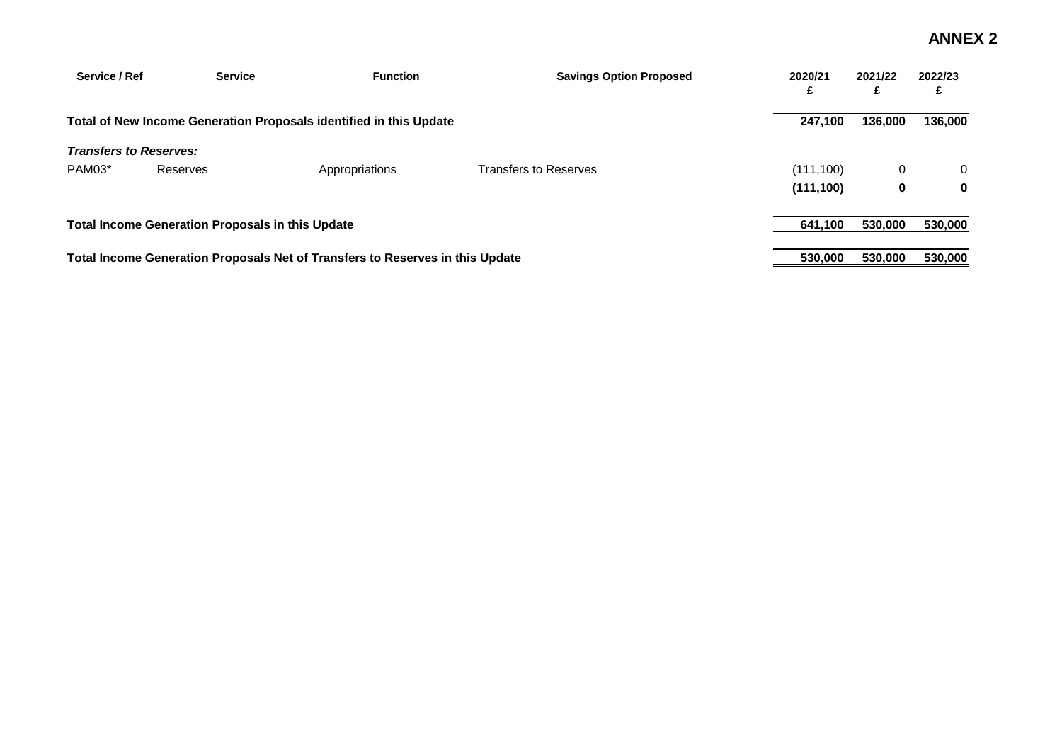| Service / Ref                 | <b>Service</b>                                          | <b>Function</b>                                                               | <b>Savings Option Proposed</b> | 2020/21<br>£ | 2021/22 | 2022/23<br>£ |
|-------------------------------|---------------------------------------------------------|-------------------------------------------------------------------------------|--------------------------------|--------------|---------|--------------|
|                               |                                                         | Total of New Income Generation Proposals identified in this Update            |                                | 247,100      | 136,000 | 136,000      |
| <b>Transfers to Reserves:</b> |                                                         |                                                                               |                                |              |         |              |
| PAM03*                        | Reserves                                                | Appropriations                                                                | <b>Transfers to Reserves</b>   | (111, 100)   |         | 0            |
|                               |                                                         |                                                                               |                                | (111, 100)   |         | $\bf{0}$     |
|                               | <b>Total Income Generation Proposals in this Update</b> |                                                                               |                                | 641,100      | 530,000 | 530,000      |
|                               |                                                         | Total Income Generation Proposals Net of Transfers to Reserves in this Update |                                | 530,000      | 530,000 | 530,000      |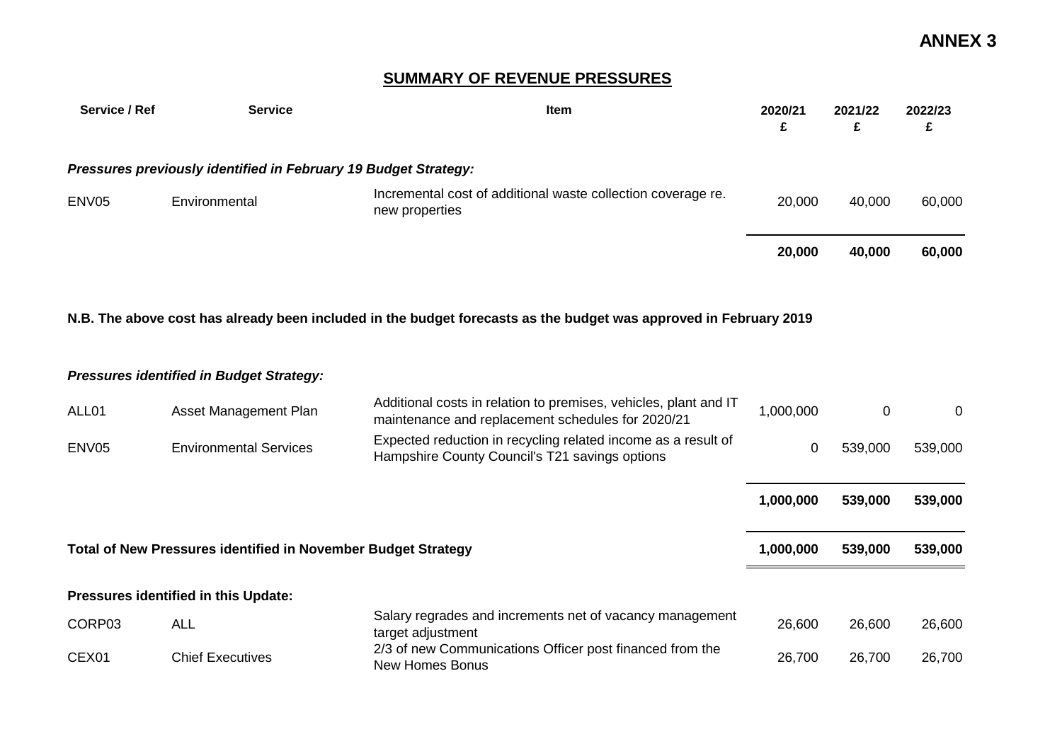## **SUMMARY OF REVENUE PRESSURES**

| Service / Ref     | <b>Service</b>                                                  | <b>Item</b>                                                                    | 2020/21<br>£ | 2021/22<br>£ | 2022/23<br>£ |
|-------------------|-----------------------------------------------------------------|--------------------------------------------------------------------------------|--------------|--------------|--------------|
|                   | Pressures previously identified in February 19 Budget Strategy: |                                                                                |              |              |              |
| ENV <sub>05</sub> | Environmental                                                   | Incremental cost of additional waste collection coverage re.<br>new properties | 20,000       | 40,000       | 60,000       |
|                   |                                                                 |                                                                                | 20,000       | 40,000       | 60,000       |

#### **N.B. The above cost has already been included in the budget forecasts as the budget was approved in February 2019**

#### *Pressures identified in Budget Strategy:*

| ALL01                                                                | Asset Management Plan                                                                                                                            | Additional costs in relation to premises, vehicles, plant and IT<br>maintenance and replacement schedules for 2020/21 | 1,000,000 | 0       | $\Omega$ |
|----------------------------------------------------------------------|--------------------------------------------------------------------------------------------------------------------------------------------------|-----------------------------------------------------------------------------------------------------------------------|-----------|---------|----------|
| ENV <sub>05</sub>                                                    | Expected reduction in recycling related income as a result of<br><b>Environmental Services</b><br>Hampshire County Council's T21 savings options |                                                                                                                       | 0         | 539,000 | 539,000  |
|                                                                      |                                                                                                                                                  |                                                                                                                       | 1,000,000 | 539,000 | 539,000  |
| <b>Total of New Pressures identified in November Budget Strategy</b> |                                                                                                                                                  |                                                                                                                       |           |         |          |
|                                                                      |                                                                                                                                                  |                                                                                                                       | 1,000,000 | 539,000 | 539,000  |
|                                                                      | Pressures identified in this Update:                                                                                                             |                                                                                                                       |           |         |          |
| CORP03                                                               | <b>ALL</b>                                                                                                                                       | Salary regrades and increments net of vacancy management<br>target adjustment                                         | 26,600    | 26,600  | 26,600   |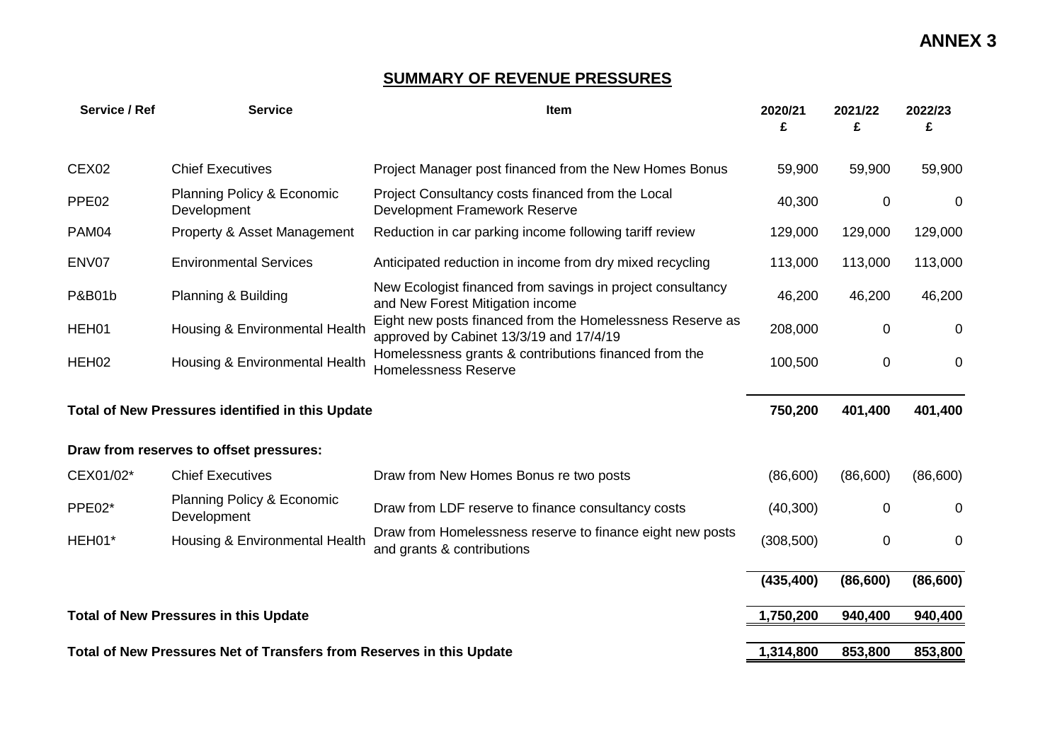## **SUMMARY OF REVENUE PRESSURES**

| Service / Ref     | <b>Service</b>                                                       | Item                                                                                                 | 2020/21<br>£ | 2021/22<br>£ | 2022/23<br>£ |
|-------------------|----------------------------------------------------------------------|------------------------------------------------------------------------------------------------------|--------------|--------------|--------------|
| CEX <sub>02</sub> | <b>Chief Executives</b>                                              | Project Manager post financed from the New Homes Bonus                                               | 59,900       | 59,900       | 59,900       |
| PPE <sub>02</sub> | Planning Policy & Economic<br>Development                            | Project Consultancy costs financed from the Local<br><b>Development Framework Reserve</b>            | 40,300       | 0            | $\mathbf 0$  |
| PAM04             | Property & Asset Management                                          | Reduction in car parking income following tariff review                                              | 129,000      | 129,000      | 129,000      |
| ENV07             | <b>Environmental Services</b>                                        | Anticipated reduction in income from dry mixed recycling                                             | 113,000      | 113,000      | 113,000      |
| <b>P&amp;B01b</b> | Planning & Building                                                  | New Ecologist financed from savings in project consultancy<br>and New Forest Mitigation income       | 46,200       | 46,200       | 46,200       |
| HEH01             | Housing & Environmental Health                                       | Eight new posts financed from the Homelessness Reserve as<br>approved by Cabinet 13/3/19 and 17/4/19 | 208,000      | 0            | 0            |
| HEH <sub>02</sub> | Housing & Environmental Health                                       | Homelessness grants & contributions financed from the<br><b>Homelessness Reserve</b>                 | 100,500      | 0            | 0            |
|                   | Total of New Pressures identified in this Update                     |                                                                                                      | 750,200      | 401,400      | 401,400      |
|                   | Draw from reserves to offset pressures:                              |                                                                                                      |              |              |              |
| CEX01/02*         | <b>Chief Executives</b>                                              | Draw from New Homes Bonus re two posts                                                               | (86,600)     | (86,600)     | (86,600)     |
| PPE02*            | Planning Policy & Economic<br>Development                            | Draw from LDF reserve to finance consultancy costs                                                   | (40, 300)    | $\Omega$     | 0            |
| HEH01*            | Housing & Environmental Health                                       | Draw from Homelessness reserve to finance eight new posts<br>and grants & contributions              | (308, 500)   | 0            | $\mathbf 0$  |
|                   |                                                                      |                                                                                                      | (435, 400)   | (86, 600)    | (86, 600)    |
|                   | <b>Total of New Pressures in this Update</b>                         |                                                                                                      | 1,750,200    | 940,400      | 940,400      |
|                   | Total of New Pressures Net of Transfers from Reserves in this Update |                                                                                                      | 1,314,800    | 853,800      | 853,800      |